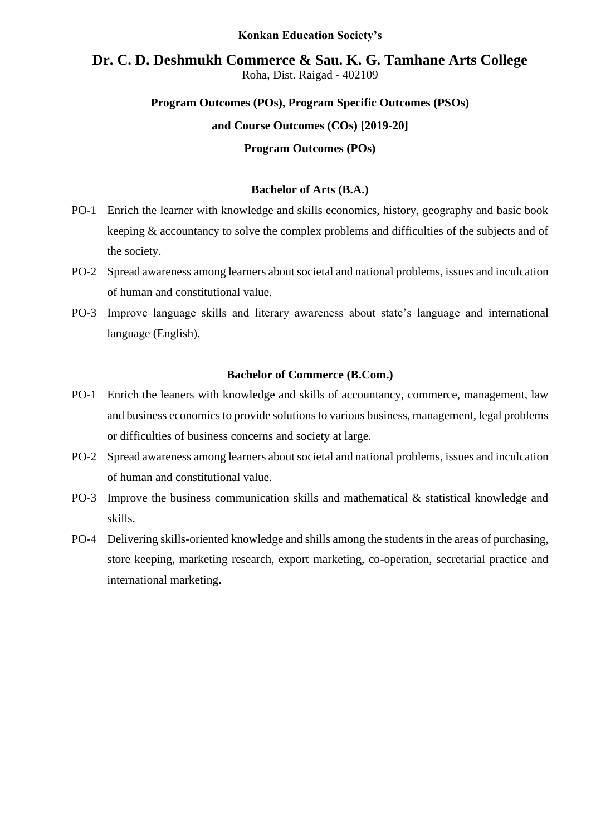# **Konkan Education Society's**

# **Dr. C. D. Deshmukh Commerce & Sau. K. G. Tamhane Arts College** Roha, Dist. Raigad - 402109

# **Program Outcomes (POs), Program Specific Outcomes (PSOs)**

# **and Course Outcomes (COs) [2019-20]**

# **Program Outcomes (POs)**

# **Bachelor of Arts (B.A.)**

- PO-1 Enrich the learner with knowledge and skills economics, history, geography and basic book keeping & accountancy to solve the complex problems and difficulties of the subjects and of the society.
- PO-2 Spread awareness among learners about societal and national problems, issues and inculcation of human and constitutional value.
- PO-3 Improve language skills and literary awareness about state's language and international language (English).

# **Bachelor of Commerce (B.Com.)**

- PO-1 Enrich the leaners with knowledge and skills of accountancy, commerce, management, law and business economics to provide solutions to various business, management, legal problems or difficulties of business concerns and society at large.
- PO-2 Spread awareness among learners about societal and national problems, issues and inculcation of human and constitutional value.
- PO-3 Improve the business communication skills and mathematical & statistical knowledge and skills.
- PO-4 Delivering skills-oriented knowledge and shills among the students in the areas of purchasing, store keeping, marketing research, export marketing, co-operation, secretarial practice and international marketing.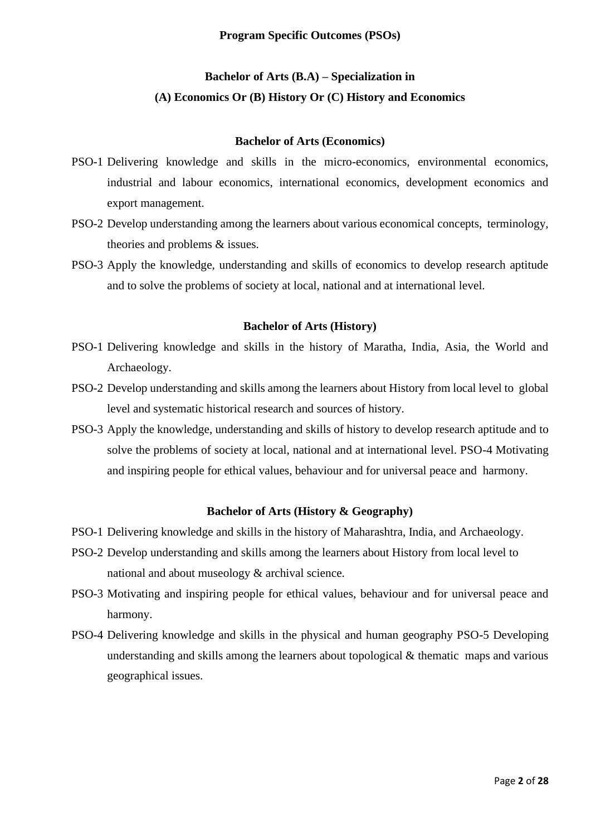# **Bachelor of Arts (B.A) – Specialization in (A) Economics Or (B) History Or (C) History and Economics**

#### **Bachelor of Arts (Economics)**

- PSO-1 Delivering knowledge and skills in the micro-economics, environmental economics, industrial and labour economics, international economics, development economics and export management.
- PSO-2 Develop understanding among the learners about various economical concepts, terminology, theories and problems & issues.
- PSO-3 Apply the knowledge, understanding and skills of economics to develop research aptitude and to solve the problems of society at local, national and at international level.

#### **Bachelor of Arts (History)**

- PSO-1 Delivering knowledge and skills in the history of Maratha, India, Asia, the World and Archaeology.
- PSO-2 Develop understanding and skills among the learners about History from local level to global level and systematic historical research and sources of history.
- PSO-3 Apply the knowledge, understanding and skills of history to develop research aptitude and to solve the problems of society at local, national and at international level. PSO-4 Motivating and inspiring people for ethical values, behaviour and for universal peace and harmony.

#### **Bachelor of Arts (History & Geography)**

- PSO-1 Delivering knowledge and skills in the history of Maharashtra, India, and Archaeology.
- PSO-2 Develop understanding and skills among the learners about History from local level to national and about museology & archival science.
- PSO-3 Motivating and inspiring people for ethical values, behaviour and for universal peace and harmony.
- PSO-4 Delivering knowledge and skills in the physical and human geography PSO-5 Developing understanding and skills among the learners about topological & thematic maps and various geographical issues.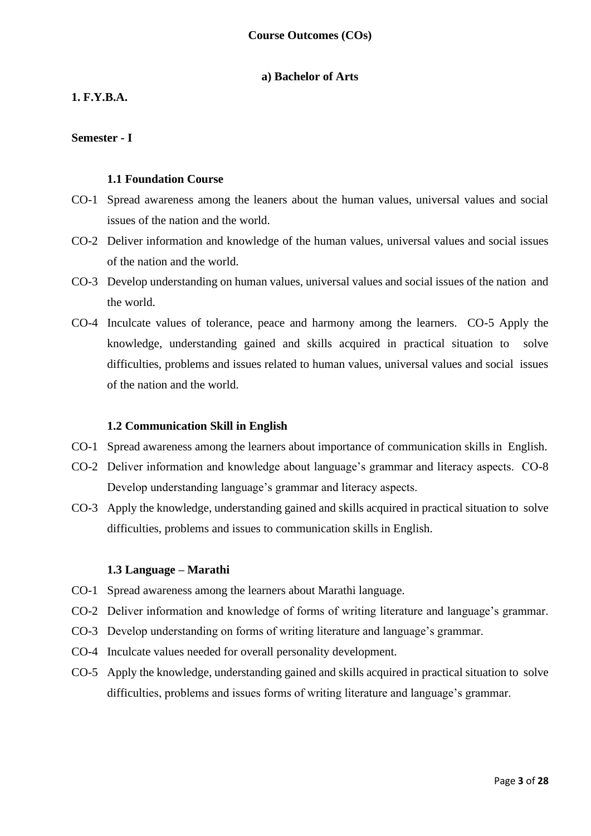# **a) Bachelor of Arts**

# **1. F.Y.B.A.**

### **Semester - I**

### **1.1 Foundation Course**

- CO-1 Spread awareness among the leaners about the human values, universal values and social issues of the nation and the world.
- CO-2 Deliver information and knowledge of the human values, universal values and social issues of the nation and the world.
- CO-3 Develop understanding on human values, universal values and social issues of the nation and the world.
- CO-4 Inculcate values of tolerance, peace and harmony among the learners. CO-5 Apply the knowledge, understanding gained and skills acquired in practical situation to solve difficulties, problems and issues related to human values, universal values and social issues of the nation and the world.

#### **1.2 Communication Skill in English**

- CO-1 Spread awareness among the learners about importance of communication skills in English.
- CO-2 Deliver information and knowledge about language's grammar and literacy aspects. CO-8 Develop understanding language's grammar and literacy aspects.
- CO-3 Apply the knowledge, understanding gained and skills acquired in practical situation to solve difficulties, problems and issues to communication skills in English.

# **1.3 Language – Marathi**

- CO-1 Spread awareness among the learners about Marathi language.
- CO-2 Deliver information and knowledge of forms of writing literature and language's grammar.
- CO-3 Develop understanding on forms of writing literature and language's grammar.
- CO-4 Inculcate values needed for overall personality development.
- CO-5 Apply the knowledge, understanding gained and skills acquired in practical situation to solve difficulties, problems and issues forms of writing literature and language's grammar.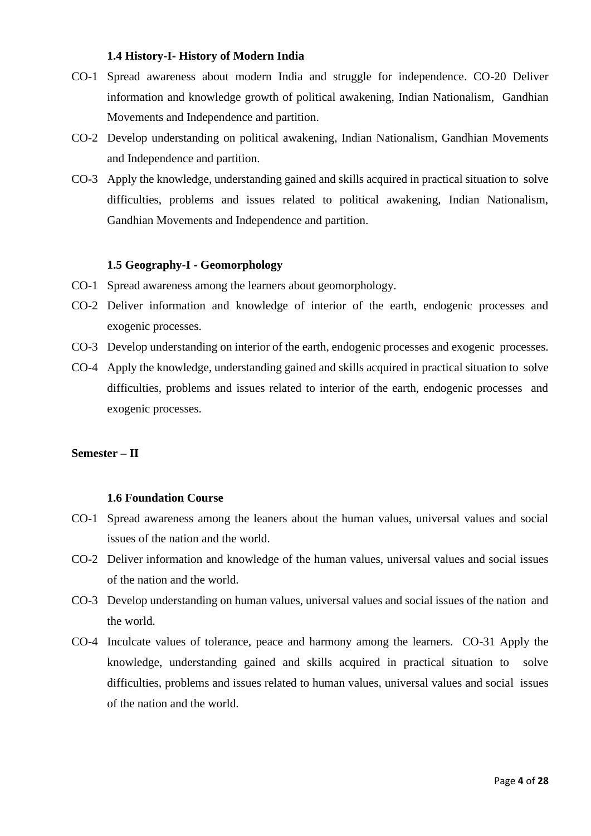# **1.4 History-I- History of Modern India**

- CO-1 Spread awareness about modern India and struggle for independence. CO-20 Deliver information and knowledge growth of political awakening, Indian Nationalism, Gandhian Movements and Independence and partition.
- CO-2 Develop understanding on political awakening, Indian Nationalism, Gandhian Movements and Independence and partition.
- CO-3 Apply the knowledge, understanding gained and skills acquired in practical situation to solve difficulties, problems and issues related to political awakening, Indian Nationalism, Gandhian Movements and Independence and partition.

# **1.5 Geography-I - Geomorphology**

- CO-1 Spread awareness among the learners about geomorphology.
- CO-2 Deliver information and knowledge of interior of the earth, endogenic processes and exogenic processes.
- CO-3 Develop understanding on interior of the earth, endogenic processes and exogenic processes.
- CO-4 Apply the knowledge, understanding gained and skills acquired in practical situation to solve difficulties, problems and issues related to interior of the earth, endogenic processes and exogenic processes.

# **Semester – II**

# **1.6 Foundation Course**

- CO-1 Spread awareness among the leaners about the human values, universal values and social issues of the nation and the world.
- CO-2 Deliver information and knowledge of the human values, universal values and social issues of the nation and the world.
- CO-3 Develop understanding on human values, universal values and social issues of the nation and the world.
- CO-4 Inculcate values of tolerance, peace and harmony among the learners. CO-31 Apply the knowledge, understanding gained and skills acquired in practical situation to solve difficulties, problems and issues related to human values, universal values and social issues of the nation and the world.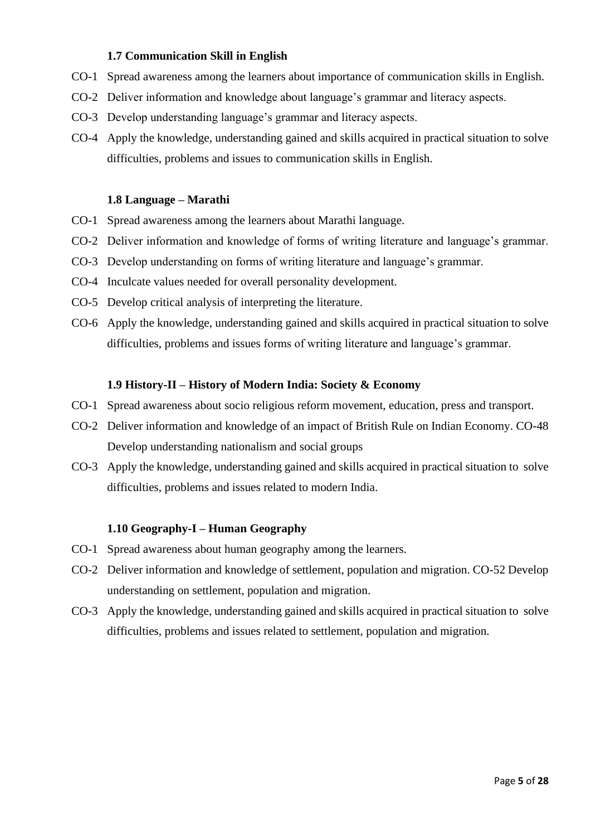# **1.7 Communication Skill in English**

- CO-1 Spread awareness among the learners about importance of communication skills in English.
- CO-2 Deliver information and knowledge about language's grammar and literacy aspects.
- CO-3 Develop understanding language's grammar and literacy aspects.
- CO-4 Apply the knowledge, understanding gained and skills acquired in practical situation to solve difficulties, problems and issues to communication skills in English.

# **1.8 Language – Marathi**

- CO-1 Spread awareness among the learners about Marathi language.
- CO-2 Deliver information and knowledge of forms of writing literature and language's grammar.
- CO-3 Develop understanding on forms of writing literature and language's grammar.
- CO-4 Inculcate values needed for overall personality development.
- CO-5 Develop critical analysis of interpreting the literature.
- CO-6 Apply the knowledge, understanding gained and skills acquired in practical situation to solve difficulties, problems and issues forms of writing literature and language's grammar.

# **1.9 History-II – History of Modern India: Society & Economy**

- CO-1 Spread awareness about socio religious reform movement, education, press and transport.
- CO-2 Deliver information and knowledge of an impact of British Rule on Indian Economy. CO-48 Develop understanding nationalism and social groups
- CO-3 Apply the knowledge, understanding gained and skills acquired in practical situation to solve difficulties, problems and issues related to modern India.

# **1.10 Geography-I – Human Geography**

- CO-1 Spread awareness about human geography among the learners.
- CO-2 Deliver information and knowledge of settlement, population and migration. CO-52 Develop understanding on settlement, population and migration.
- CO-3 Apply the knowledge, understanding gained and skills acquired in practical situation to solve difficulties, problems and issues related to settlement, population and migration.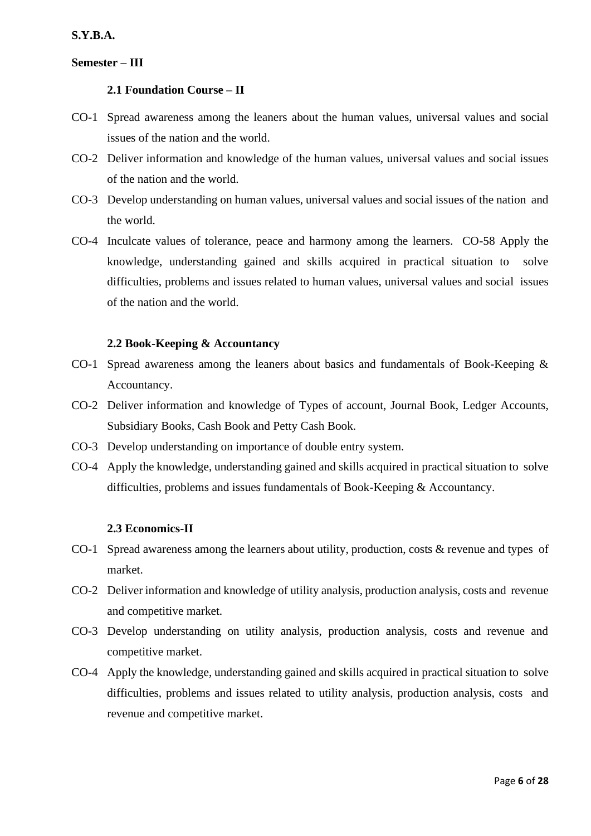# **Semester – III**

# **2.1 Foundation Course – II**

- CO-1 Spread awareness among the leaners about the human values, universal values and social issues of the nation and the world.
- CO-2 Deliver information and knowledge of the human values, universal values and social issues of the nation and the world.
- CO-3 Develop understanding on human values, universal values and social issues of the nation and the world.
- CO-4 Inculcate values of tolerance, peace and harmony among the learners. CO-58 Apply the knowledge, understanding gained and skills acquired in practical situation to solve difficulties, problems and issues related to human values, universal values and social issues of the nation and the world.

# **2.2 Book-Keeping & Accountancy**

- CO-1 Spread awareness among the leaners about basics and fundamentals of Book-Keeping & Accountancy.
- CO-2 Deliver information and knowledge of Types of account, Journal Book, Ledger Accounts, Subsidiary Books, Cash Book and Petty Cash Book.
- CO-3 Develop understanding on importance of double entry system.
- CO-4 Apply the knowledge, understanding gained and skills acquired in practical situation to solve difficulties, problems and issues fundamentals of Book-Keeping & Accountancy.

# **2.3 Economics-II**

- CO-1 Spread awareness among the learners about utility, production, costs & revenue and types of market.
- CO-2 Deliver information and knowledge of utility analysis, production analysis, costs and revenue and competitive market.
- CO-3 Develop understanding on utility analysis, production analysis, costs and revenue and competitive market.
- CO-4 Apply the knowledge, understanding gained and skills acquired in practical situation to solve difficulties, problems and issues related to utility analysis, production analysis, costs and revenue and competitive market.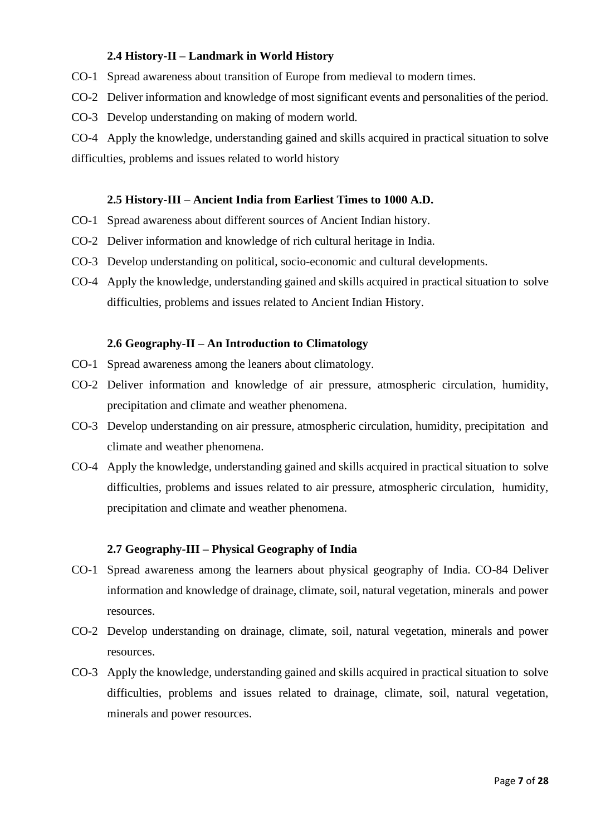# **2.4 History-II – Landmark in World History**

- CO-1 Spread awareness about transition of Europe from medieval to modern times.
- CO-2 Deliver information and knowledge of most significant events and personalities of the period.
- CO-3 Develop understanding on making of modern world.

CO-4 Apply the knowledge, understanding gained and skills acquired in practical situation to solve difficulties, problems and issues related to world history

# **2.5 History-III – Ancient India from Earliest Times to 1000 A.D.**

- CO-1 Spread awareness about different sources of Ancient Indian history.
- CO-2 Deliver information and knowledge of rich cultural heritage in India.
- CO-3 Develop understanding on political, socio-economic and cultural developments.
- CO-4 Apply the knowledge, understanding gained and skills acquired in practical situation to solve difficulties, problems and issues related to Ancient Indian History.

# **2.6 Geography-II – An Introduction to Climatology**

- CO-1 Spread awareness among the leaners about climatology.
- CO-2 Deliver information and knowledge of air pressure, atmospheric circulation, humidity, precipitation and climate and weather phenomena.
- CO-3 Develop understanding on air pressure, atmospheric circulation, humidity, precipitation and climate and weather phenomena.
- CO-4 Apply the knowledge, understanding gained and skills acquired in practical situation to solve difficulties, problems and issues related to air pressure, atmospheric circulation, humidity, precipitation and climate and weather phenomena.

# **2.7 Geography-III – Physical Geography of India**

- CO-1 Spread awareness among the learners about physical geography of India. CO-84 Deliver information and knowledge of drainage, climate, soil, natural vegetation, minerals and power resources.
- CO-2 Develop understanding on drainage, climate, soil, natural vegetation, minerals and power resources.
- CO-3 Apply the knowledge, understanding gained and skills acquired in practical situation to solve difficulties, problems and issues related to drainage, climate, soil, natural vegetation, minerals and power resources.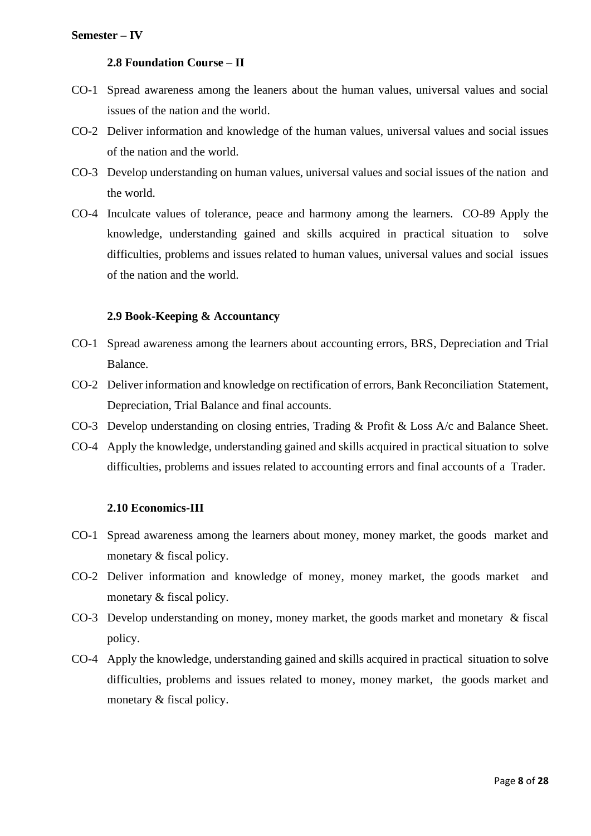# **2.8 Foundation Course – II**

- CO-1 Spread awareness among the leaners about the human values, universal values and social issues of the nation and the world.
- CO-2 Deliver information and knowledge of the human values, universal values and social issues of the nation and the world.
- CO-3 Develop understanding on human values, universal values and social issues of the nation and the world.
- CO-4 Inculcate values of tolerance, peace and harmony among the learners. CO-89 Apply the knowledge, understanding gained and skills acquired in practical situation to solve difficulties, problems and issues related to human values, universal values and social issues of the nation and the world.

# **2.9 Book-Keeping & Accountancy**

- CO-1 Spread awareness among the learners about accounting errors, BRS, Depreciation and Trial Balance.
- CO-2 Deliver information and knowledge on rectification of errors, Bank Reconciliation Statement, Depreciation, Trial Balance and final accounts.
- CO-3 Develop understanding on closing entries, Trading & Profit & Loss A/c and Balance Sheet.
- CO-4 Apply the knowledge, understanding gained and skills acquired in practical situation to solve difficulties, problems and issues related to accounting errors and final accounts of a Trader.

# **2.10 Economics-III**

- CO-1 Spread awareness among the learners about money, money market, the goods market and monetary & fiscal policy.
- CO-2 Deliver information and knowledge of money, money market, the goods market and monetary & fiscal policy.
- CO-3 Develop understanding on money, money market, the goods market and monetary & fiscal policy.
- CO-4 Apply the knowledge, understanding gained and skills acquired in practical situation to solve difficulties, problems and issues related to money, money market, the goods market and monetary & fiscal policy.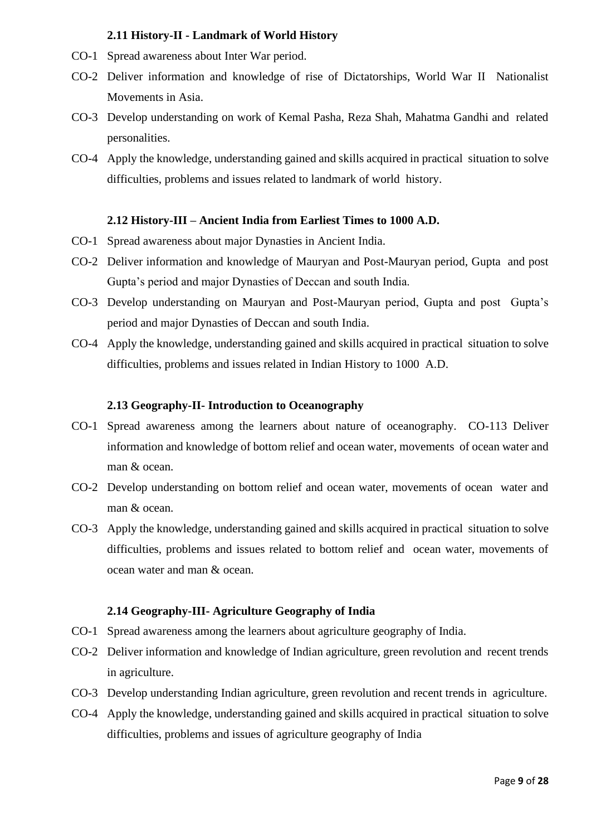# **2.11 History-II - Landmark of World History**

- CO-1 Spread awareness about Inter War period.
- CO-2 Deliver information and knowledge of rise of Dictatorships, World War II Nationalist Movements in Asia.
- CO-3 Develop understanding on work of Kemal Pasha, Reza Shah, Mahatma Gandhi and related personalities.
- CO-4 Apply the knowledge, understanding gained and skills acquired in practical situation to solve difficulties, problems and issues related to landmark of world history.

# **2.12 History-III – Ancient India from Earliest Times to 1000 A.D.**

- CO-1 Spread awareness about major Dynasties in Ancient India.
- CO-2 Deliver information and knowledge of Mauryan and Post-Mauryan period, Gupta and post Gupta's period and major Dynasties of Deccan and south India.
- CO-3 Develop understanding on Mauryan and Post-Mauryan period, Gupta and post Gupta's period and major Dynasties of Deccan and south India.
- CO-4 Apply the knowledge, understanding gained and skills acquired in practical situation to solve difficulties, problems and issues related in Indian History to 1000 A.D.

# **2.13 Geography-II- Introduction to Oceanography**

- CO-1 Spread awareness among the learners about nature of oceanography. CO-113 Deliver information and knowledge of bottom relief and ocean water, movements of ocean water and man & ocean.
- CO-2 Develop understanding on bottom relief and ocean water, movements of ocean water and man & ocean.
- CO-3 Apply the knowledge, understanding gained and skills acquired in practical situation to solve difficulties, problems and issues related to bottom relief and ocean water, movements of ocean water and man & ocean.

# **2.14 Geography-III- Agriculture Geography of India**

- CO-1 Spread awareness among the learners about agriculture geography of India.
- CO-2 Deliver information and knowledge of Indian agriculture, green revolution and recent trends in agriculture.
- CO-3 Develop understanding Indian agriculture, green revolution and recent trends in agriculture.
- CO-4 Apply the knowledge, understanding gained and skills acquired in practical situation to solve difficulties, problems and issues of agriculture geography of India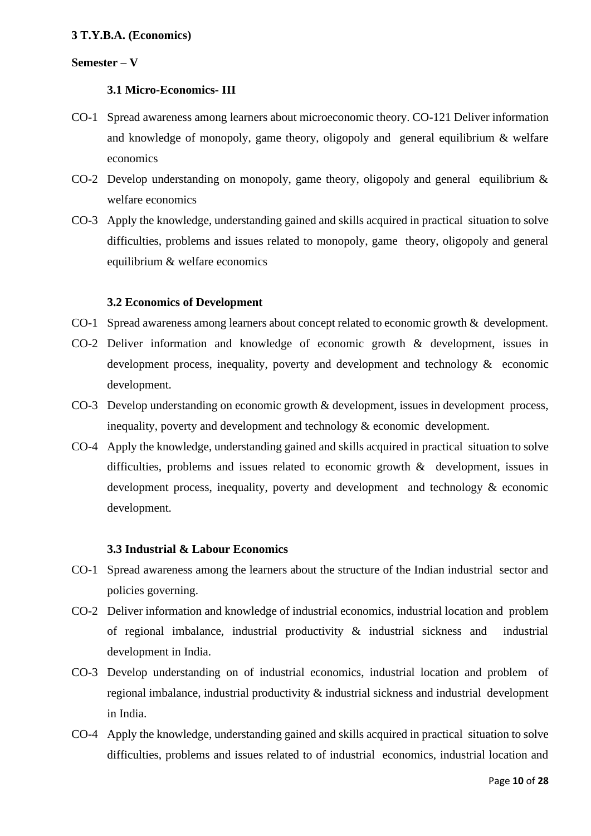# **3 T.Y.B.A. (Economics)**

# **Semester – V**

# **3.1 Micro-Economics- III**

- CO-1 Spread awareness among learners about microeconomic theory. CO-121 Deliver information and knowledge of monopoly, game theory, oligopoly and general equilibrium & welfare economics
- CO-2 Develop understanding on monopoly, game theory, oligopoly and general equilibrium & welfare economics
- CO-3 Apply the knowledge, understanding gained and skills acquired in practical situation to solve difficulties, problems and issues related to monopoly, game theory, oligopoly and general equilibrium & welfare economics

# **3.2 Economics of Development**

- CO-1 Spread awareness among learners about concept related to economic growth & development.
- CO-2 Deliver information and knowledge of economic growth & development, issues in development process, inequality, poverty and development and technology & economic development.
- CO-3 Develop understanding on economic growth & development, issues in development process, inequality, poverty and development and technology & economic development.
- CO-4 Apply the knowledge, understanding gained and skills acquired in practical situation to solve difficulties, problems and issues related to economic growth & development, issues in development process, inequality, poverty and development and technology & economic development.

#### **3.3 Industrial & Labour Economics**

- CO-1 Spread awareness among the learners about the structure of the Indian industrial sector and policies governing.
- CO-2 Deliver information and knowledge of industrial economics, industrial location and problem of regional imbalance, industrial productivity & industrial sickness and industrial development in India.
- CO-3 Develop understanding on of industrial economics, industrial location and problem of regional imbalance, industrial productivity & industrial sickness and industrial development in India.
- CO-4 Apply the knowledge, understanding gained and skills acquired in practical situation to solve difficulties, problems and issues related to of industrial economics, industrial location and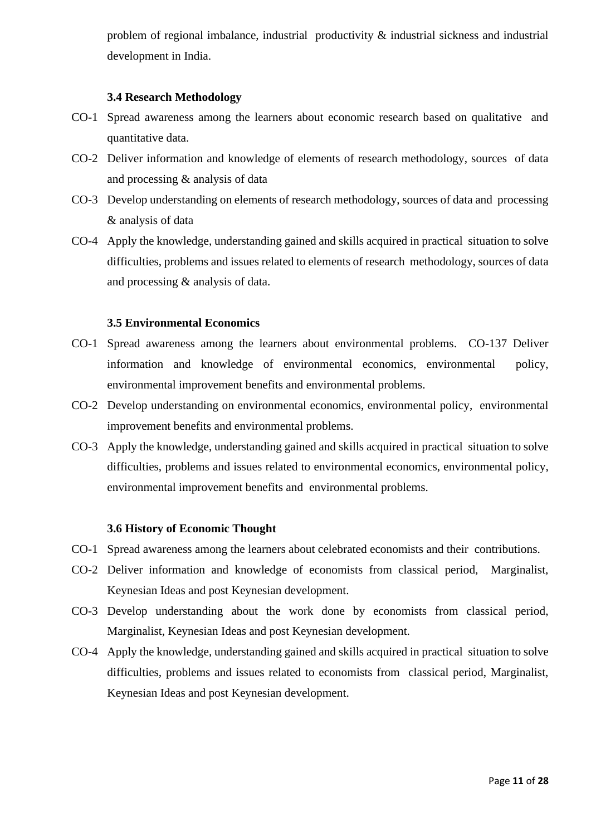problem of regional imbalance, industrial productivity & industrial sickness and industrial development in India.

# **3.4 Research Methodology**

- CO-1 Spread awareness among the learners about economic research based on qualitative and quantitative data.
- CO-2 Deliver information and knowledge of elements of research methodology, sources of data and processing & analysis of data
- CO-3 Develop understanding on elements of research methodology, sources of data and processing & analysis of data
- CO-4 Apply the knowledge, understanding gained and skills acquired in practical situation to solve difficulties, problems and issues related to elements of research methodology, sources of data and processing & analysis of data.

# **3.5 Environmental Economics**

- CO-1 Spread awareness among the learners about environmental problems. CO-137 Deliver information and knowledge of environmental economics, environmental policy, environmental improvement benefits and environmental problems.
- CO-2 Develop understanding on environmental economics, environmental policy, environmental improvement benefits and environmental problems.
- CO-3 Apply the knowledge, understanding gained and skills acquired in practical situation to solve difficulties, problems and issues related to environmental economics, environmental policy, environmental improvement benefits and environmental problems.

# **3.6 History of Economic Thought**

- CO-1 Spread awareness among the learners about celebrated economists and their contributions.
- CO-2 Deliver information and knowledge of economists from classical period, Marginalist, Keynesian Ideas and post Keynesian development.
- CO-3 Develop understanding about the work done by economists from classical period, Marginalist, Keynesian Ideas and post Keynesian development.
- CO-4 Apply the knowledge, understanding gained and skills acquired in practical situation to solve difficulties, problems and issues related to economists from classical period, Marginalist, Keynesian Ideas and post Keynesian development.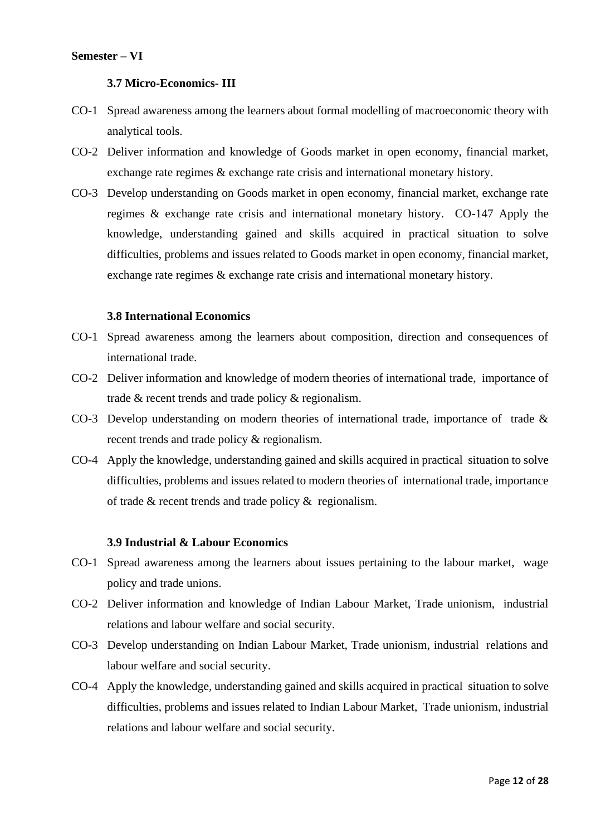# **Semester – VI**

### **3.7 Micro-Economics- III**

- CO-1 Spread awareness among the learners about formal modelling of macroeconomic theory with analytical tools.
- CO-2 Deliver information and knowledge of Goods market in open economy, financial market, exchange rate regimes & exchange rate crisis and international monetary history.
- CO-3 Develop understanding on Goods market in open economy, financial market, exchange rate regimes & exchange rate crisis and international monetary history. CO-147 Apply the knowledge, understanding gained and skills acquired in practical situation to solve difficulties, problems and issues related to Goods market in open economy, financial market, exchange rate regimes & exchange rate crisis and international monetary history.

### **3.8 International Economics**

- CO-1 Spread awareness among the learners about composition, direction and consequences of international trade.
- CO-2 Deliver information and knowledge of modern theories of international trade, importance of trade & recent trends and trade policy & regionalism.
- CO-3 Develop understanding on modern theories of international trade, importance of trade & recent trends and trade policy & regionalism.
- CO-4 Apply the knowledge, understanding gained and skills acquired in practical situation to solve difficulties, problems and issues related to modern theories of international trade, importance of trade & recent trends and trade policy & regionalism.

### **3.9 Industrial & Labour Economics**

- CO-1 Spread awareness among the learners about issues pertaining to the labour market, wage policy and trade unions.
- CO-2 Deliver information and knowledge of Indian Labour Market, Trade unionism, industrial relations and labour welfare and social security.
- CO-3 Develop understanding on Indian Labour Market, Trade unionism, industrial relations and labour welfare and social security.
- CO-4 Apply the knowledge, understanding gained and skills acquired in practical situation to solve difficulties, problems and issues related to Indian Labour Market, Trade unionism, industrial relations and labour welfare and social security.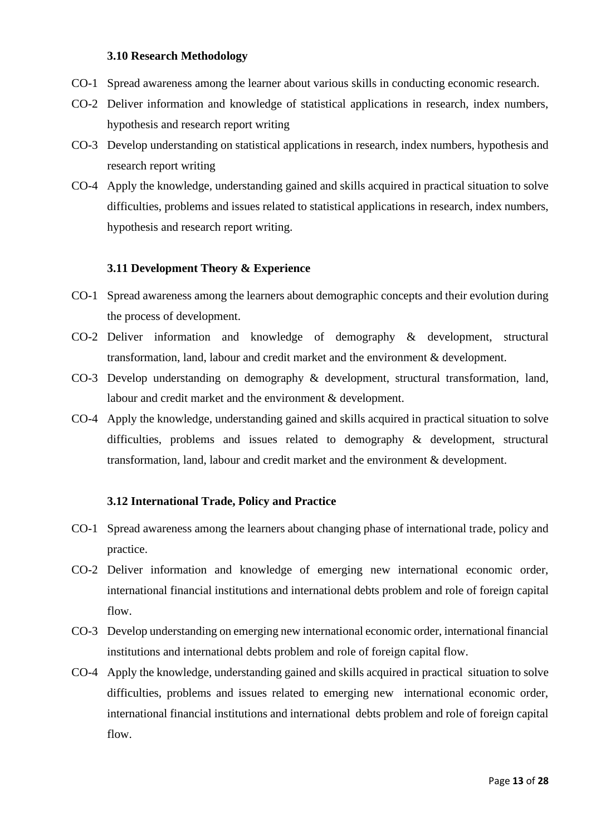### **3.10 Research Methodology**

- CO-1 Spread awareness among the learner about various skills in conducting economic research.
- CO-2 Deliver information and knowledge of statistical applications in research, index numbers, hypothesis and research report writing
- CO-3 Develop understanding on statistical applications in research, index numbers, hypothesis and research report writing
- CO-4 Apply the knowledge, understanding gained and skills acquired in practical situation to solve difficulties, problems and issues related to statistical applications in research, index numbers, hypothesis and research report writing.

### **3.11 Development Theory & Experience**

- CO-1 Spread awareness among the learners about demographic concepts and their evolution during the process of development.
- CO-2 Deliver information and knowledge of demography & development, structural transformation, land, labour and credit market and the environment & development.
- CO-3 Develop understanding on demography & development, structural transformation, land, labour and credit market and the environment & development.
- CO-4 Apply the knowledge, understanding gained and skills acquired in practical situation to solve difficulties, problems and issues related to demography & development, structural transformation, land, labour and credit market and the environment & development.

# **3.12 International Trade, Policy and Practice**

- CO-1 Spread awareness among the learners about changing phase of international trade, policy and practice.
- CO-2 Deliver information and knowledge of emerging new international economic order, international financial institutions and international debts problem and role of foreign capital flow.
- CO-3 Develop understanding on emerging new international economic order, international financial institutions and international debts problem and role of foreign capital flow.
- CO-4 Apply the knowledge, understanding gained and skills acquired in practical situation to solve difficulties, problems and issues related to emerging new international economic order, international financial institutions and international debts problem and role of foreign capital flow.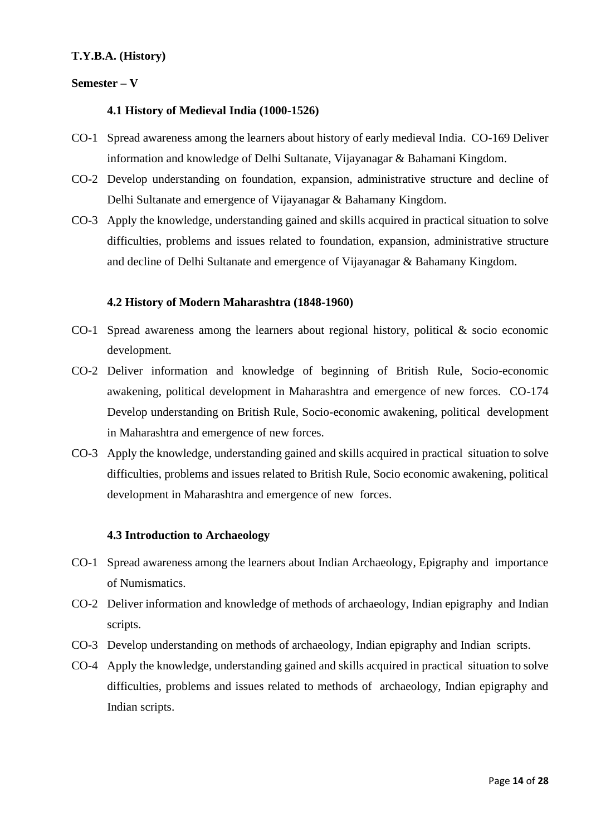# **T.Y.B.A. (History)**

# **Semester – V**

### **4.1 History of Medieval India (1000-1526)**

- CO-1 Spread awareness among the learners about history of early medieval India. CO-169 Deliver information and knowledge of Delhi Sultanate, Vijayanagar & Bahamani Kingdom.
- CO-2 Develop understanding on foundation, expansion, administrative structure and decline of Delhi Sultanate and emergence of Vijayanagar & Bahamany Kingdom.
- CO-3 Apply the knowledge, understanding gained and skills acquired in practical situation to solve difficulties, problems and issues related to foundation, expansion, administrative structure and decline of Delhi Sultanate and emergence of Vijayanagar & Bahamany Kingdom.

### **4.2 History of Modern Maharashtra (1848-1960)**

- CO-1 Spread awareness among the learners about regional history, political & socio economic development.
- CO-2 Deliver information and knowledge of beginning of British Rule, Socio-economic awakening, political development in Maharashtra and emergence of new forces. CO-174 Develop understanding on British Rule, Socio-economic awakening, political development in Maharashtra and emergence of new forces.
- CO-3 Apply the knowledge, understanding gained and skills acquired in practical situation to solve difficulties, problems and issues related to British Rule, Socio economic awakening, political development in Maharashtra and emergence of new forces.

# **4.3 Introduction to Archaeology**

- CO-1 Spread awareness among the learners about Indian Archaeology, Epigraphy and importance of Numismatics.
- CO-2 Deliver information and knowledge of methods of archaeology, Indian epigraphy and Indian scripts.
- CO-3 Develop understanding on methods of archaeology, Indian epigraphy and Indian scripts.
- CO-4 Apply the knowledge, understanding gained and skills acquired in practical situation to solve difficulties, problems and issues related to methods of archaeology, Indian epigraphy and Indian scripts.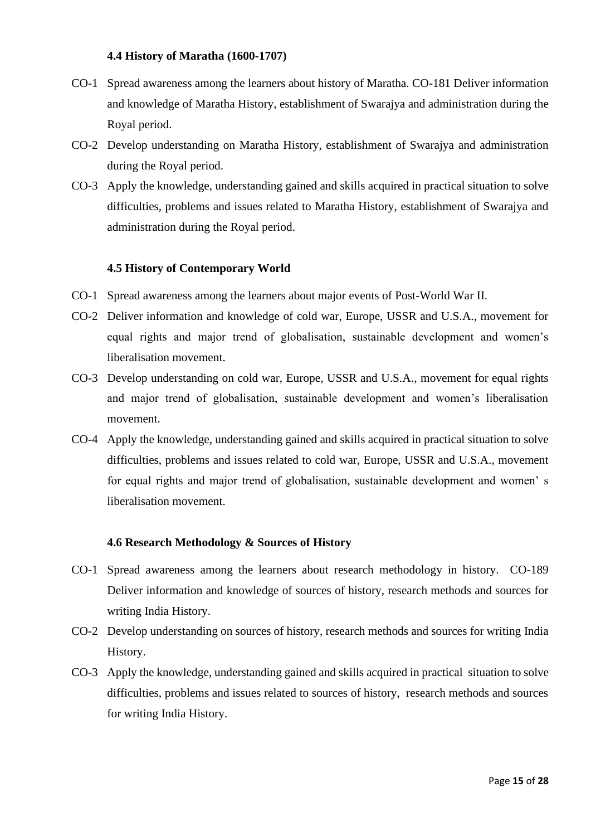# **4.4 History of Maratha (1600-1707)**

- CO-1 Spread awareness among the learners about history of Maratha. CO-181 Deliver information and knowledge of Maratha History, establishment of Swarajya and administration during the Royal period.
- CO-2 Develop understanding on Maratha History, establishment of Swarajya and administration during the Royal period.
- CO-3 Apply the knowledge, understanding gained and skills acquired in practical situation to solve difficulties, problems and issues related to Maratha History, establishment of Swarajya and administration during the Royal period.

#### **4.5 History of Contemporary World**

- CO-1 Spread awareness among the learners about major events of Post-World War II.
- CO-2 Deliver information and knowledge of cold war, Europe, USSR and U.S.A., movement for equal rights and major trend of globalisation, sustainable development and women's liberalisation movement.
- CO-3 Develop understanding on cold war, Europe, USSR and U.S.A., movement for equal rights and major trend of globalisation, sustainable development and women's liberalisation movement.
- CO-4 Apply the knowledge, understanding gained and skills acquired in practical situation to solve difficulties, problems and issues related to cold war, Europe, USSR and U.S.A., movement for equal rights and major trend of globalisation, sustainable development and women' s liberalisation movement.

#### **4.6 Research Methodology & Sources of History**

- CO-1 Spread awareness among the learners about research methodology in history. CO-189 Deliver information and knowledge of sources of history, research methods and sources for writing India History.
- CO-2 Develop understanding on sources of history, research methods and sources for writing India History.
- CO-3 Apply the knowledge, understanding gained and skills acquired in practical situation to solve difficulties, problems and issues related to sources of history, research methods and sources for writing India History.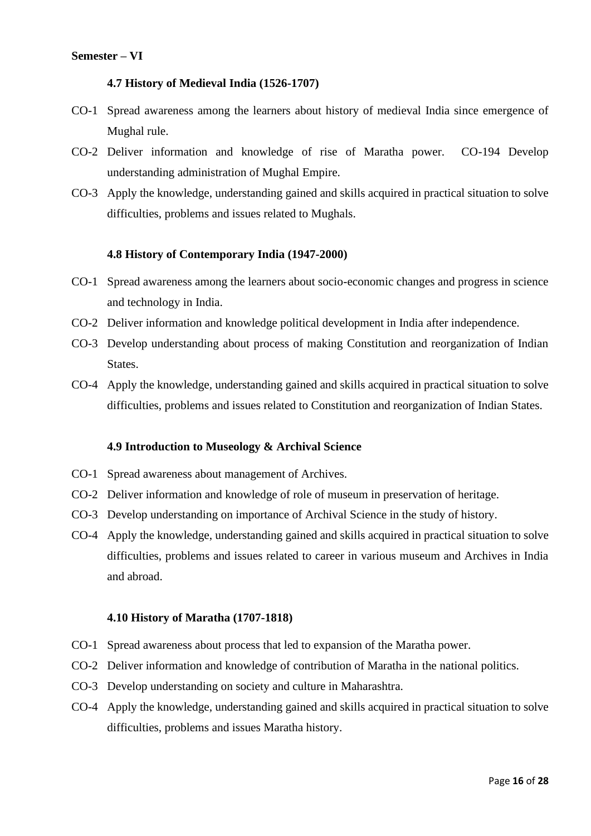# **Semester – VI**

# **4.7 History of Medieval India (1526-1707)**

- CO-1 Spread awareness among the learners about history of medieval India since emergence of Mughal rule.
- CO-2 Deliver information and knowledge of rise of Maratha power. CO-194 Develop understanding administration of Mughal Empire.
- CO-3 Apply the knowledge, understanding gained and skills acquired in practical situation to solve difficulties, problems and issues related to Mughals.

# **4.8 History of Contemporary India (1947-2000)**

- CO-1 Spread awareness among the learners about socio-economic changes and progress in science and technology in India.
- CO-2 Deliver information and knowledge political development in India after independence.
- CO-3 Develop understanding about process of making Constitution and reorganization of Indian States.
- CO-4 Apply the knowledge, understanding gained and skills acquired in practical situation to solve difficulties, problems and issues related to Constitution and reorganization of Indian States.

#### **4.9 Introduction to Museology & Archival Science**

- CO-1 Spread awareness about management of Archives.
- CO-2 Deliver information and knowledge of role of museum in preservation of heritage.
- CO-3 Develop understanding on importance of Archival Science in the study of history.
- CO-4 Apply the knowledge, understanding gained and skills acquired in practical situation to solve difficulties, problems and issues related to career in various museum and Archives in India and abroad.

# **4.10 History of Maratha (1707-1818)**

- CO-1 Spread awareness about process that led to expansion of the Maratha power.
- CO-2 Deliver information and knowledge of contribution of Maratha in the national politics.
- CO-3 Develop understanding on society and culture in Maharashtra.
- CO-4 Apply the knowledge, understanding gained and skills acquired in practical situation to solve difficulties, problems and issues Maratha history.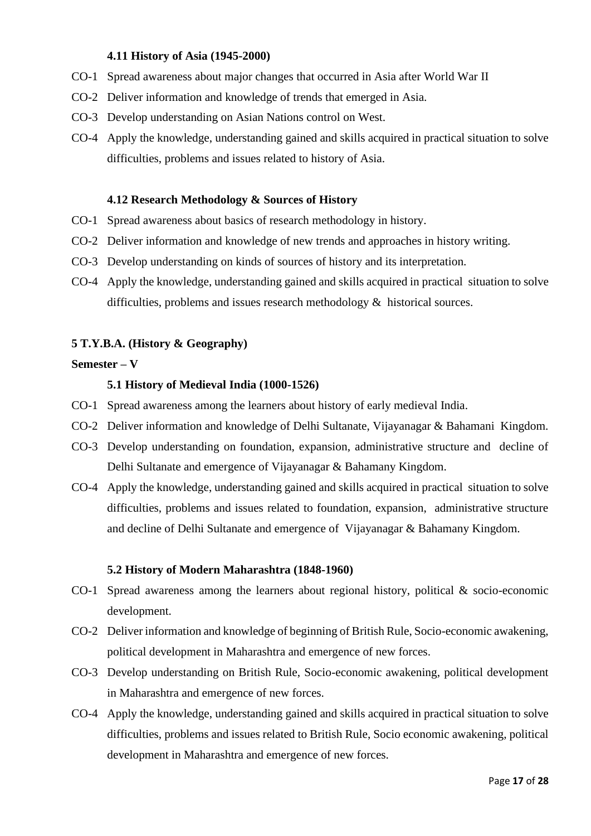# **4.11 History of Asia (1945-2000)**

- CO-1 Spread awareness about major changes that occurred in Asia after World War II
- CO-2 Deliver information and knowledge of trends that emerged in Asia.
- CO-3 Develop understanding on Asian Nations control on West.
- CO-4 Apply the knowledge, understanding gained and skills acquired in practical situation to solve difficulties, problems and issues related to history of Asia.

#### **4.12 Research Methodology & Sources of History**

- CO-1 Spread awareness about basics of research methodology in history.
- CO-2 Deliver information and knowledge of new trends and approaches in history writing.
- CO-3 Develop understanding on kinds of sources of history and its interpretation.
- CO-4 Apply the knowledge, understanding gained and skills acquired in practical situation to solve difficulties, problems and issues research methodology & historical sources.

### **5 T.Y.B.A. (History & Geography)**

### **Semester – V**

#### **5.1 History of Medieval India (1000-1526)**

- CO-1 Spread awareness among the learners about history of early medieval India.
- CO-2 Deliver information and knowledge of Delhi Sultanate, Vijayanagar & Bahamani Kingdom.
- CO-3 Develop understanding on foundation, expansion, administrative structure and decline of Delhi Sultanate and emergence of Vijayanagar & Bahamany Kingdom.
- CO-4 Apply the knowledge, understanding gained and skills acquired in practical situation to solve difficulties, problems and issues related to foundation, expansion, administrative structure and decline of Delhi Sultanate and emergence of Vijayanagar & Bahamany Kingdom.

#### **5.2 History of Modern Maharashtra (1848-1960)**

- CO-1 Spread awareness among the learners about regional history, political & socio-economic development.
- CO-2 Deliver information and knowledge of beginning of British Rule, Socio-economic awakening, political development in Maharashtra and emergence of new forces.
- CO-3 Develop understanding on British Rule, Socio-economic awakening, political development in Maharashtra and emergence of new forces.
- CO-4 Apply the knowledge, understanding gained and skills acquired in practical situation to solve difficulties, problems and issues related to British Rule, Socio economic awakening, political development in Maharashtra and emergence of new forces.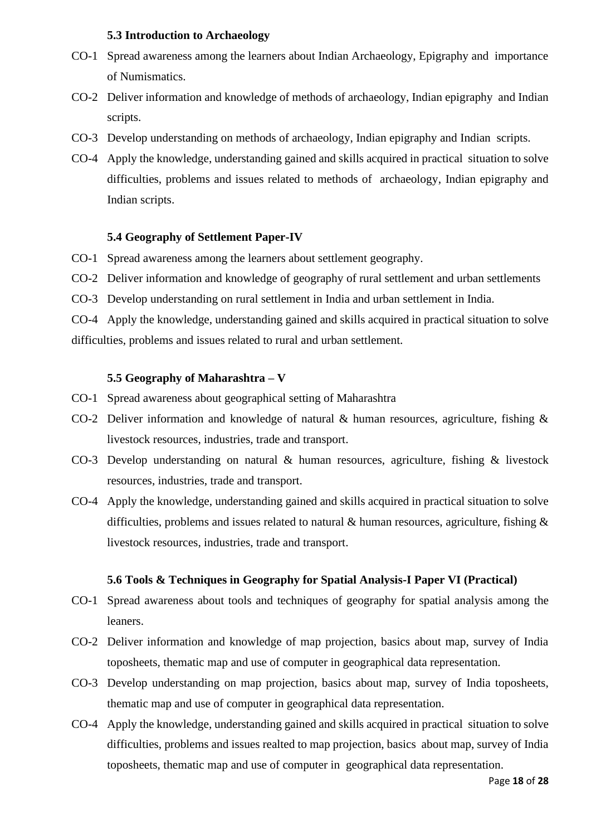### **5.3 Introduction to Archaeology**

- CO-1 Spread awareness among the learners about Indian Archaeology, Epigraphy and importance of Numismatics.
- CO-2 Deliver information and knowledge of methods of archaeology, Indian epigraphy and Indian scripts.
- CO-3 Develop understanding on methods of archaeology, Indian epigraphy and Indian scripts.
- CO-4 Apply the knowledge, understanding gained and skills acquired in practical situation to solve difficulties, problems and issues related to methods of archaeology, Indian epigraphy and Indian scripts.

# **5.4 Geography of Settlement Paper-IV**

- CO-1 Spread awareness among the learners about settlement geography.
- CO-2 Deliver information and knowledge of geography of rural settlement and urban settlements
- CO-3 Develop understanding on rural settlement in India and urban settlement in India.
- CO-4 Apply the knowledge, understanding gained and skills acquired in practical situation to solve difficulties, problems and issues related to rural and urban settlement.

### **5.5 Geography of Maharashtra – V**

- CO-1 Spread awareness about geographical setting of Maharashtra
- CO-2 Deliver information and knowledge of natural & human resources, agriculture, fishing & livestock resources, industries, trade and transport.
- CO-3 Develop understanding on natural & human resources, agriculture, fishing & livestock resources, industries, trade and transport.
- CO-4 Apply the knowledge, understanding gained and skills acquired in practical situation to solve difficulties, problems and issues related to natural  $\&$  human resources, agriculture, fishing  $\&$ livestock resources, industries, trade and transport.

#### **5.6 Tools & Techniques in Geography for Spatial Analysis-I Paper VI (Practical)**

- CO-1 Spread awareness about tools and techniques of geography for spatial analysis among the leaners.
- CO-2 Deliver information and knowledge of map projection, basics about map, survey of India toposheets, thematic map and use of computer in geographical data representation.
- CO-3 Develop understanding on map projection, basics about map, survey of India toposheets, thematic map and use of computer in geographical data representation.
- CO-4 Apply the knowledge, understanding gained and skills acquired in practical situation to solve difficulties, problems and issues realted to map projection, basics about map, survey of India toposheets, thematic map and use of computer in geographical data representation.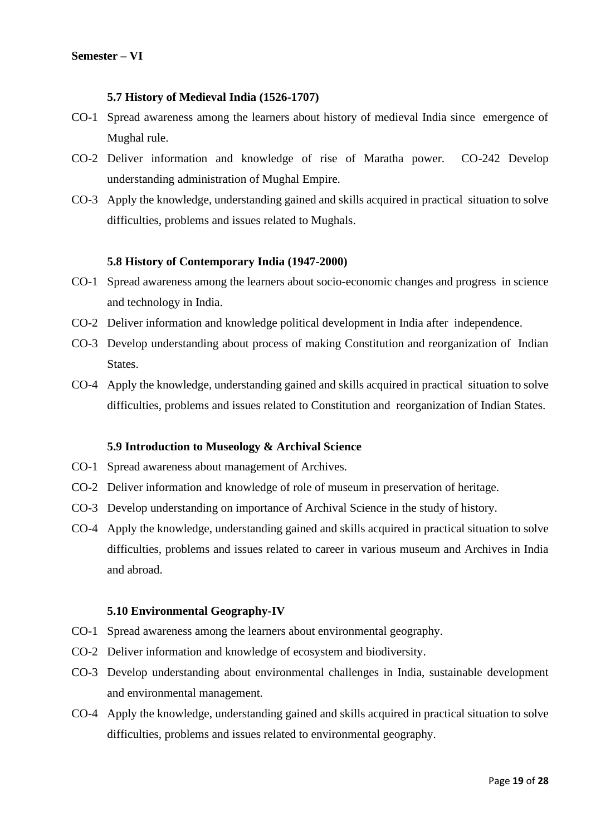# **5.7 History of Medieval India (1526-1707)**

- CO-1 Spread awareness among the learners about history of medieval India since emergence of Mughal rule.
- CO-2 Deliver information and knowledge of rise of Maratha power. CO-242 Develop understanding administration of Mughal Empire.
- CO-3 Apply the knowledge, understanding gained and skills acquired in practical situation to solve difficulties, problems and issues related to Mughals.

### **5.8 History of Contemporary India (1947-2000)**

- CO-1 Spread awareness among the learners about socio-economic changes and progress in science and technology in India.
- CO-2 Deliver information and knowledge political development in India after independence.
- CO-3 Develop understanding about process of making Constitution and reorganization of Indian States.
- CO-4 Apply the knowledge, understanding gained and skills acquired in practical situation to solve difficulties, problems and issues related to Constitution and reorganization of Indian States.

#### **5.9 Introduction to Museology & Archival Science**

- CO-1 Spread awareness about management of Archives.
- CO-2 Deliver information and knowledge of role of museum in preservation of heritage.
- CO-3 Develop understanding on importance of Archival Science in the study of history.
- CO-4 Apply the knowledge, understanding gained and skills acquired in practical situation to solve difficulties, problems and issues related to career in various museum and Archives in India and abroad.

#### **5.10 Environmental Geography-IV**

- CO-1 Spread awareness among the learners about environmental geography.
- CO-2 Deliver information and knowledge of ecosystem and biodiversity.
- CO-3 Develop understanding about environmental challenges in India, sustainable development and environmental management.
- CO-4 Apply the knowledge, understanding gained and skills acquired in practical situation to solve difficulties, problems and issues related to environmental geography.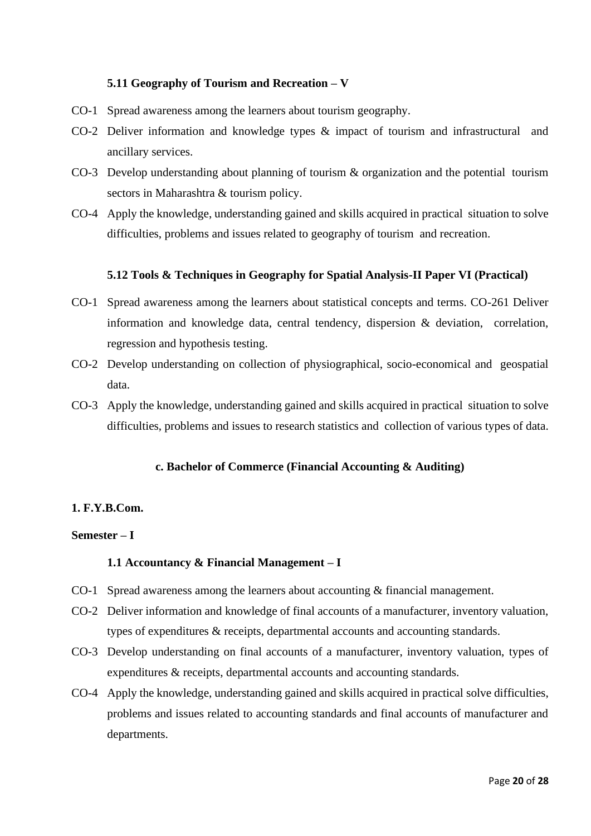# **5.11 Geography of Tourism and Recreation – V**

- CO-1 Spread awareness among the learners about tourism geography.
- CO-2 Deliver information and knowledge types & impact of tourism and infrastructural and ancillary services.
- CO-3 Develop understanding about planning of tourism & organization and the potential tourism sectors in Maharashtra & tourism policy.
- CO-4 Apply the knowledge, understanding gained and skills acquired in practical situation to solve difficulties, problems and issues related to geography of tourism and recreation.

# **5.12 Tools & Techniques in Geography for Spatial Analysis-II Paper VI (Practical)**

- CO-1 Spread awareness among the learners about statistical concepts and terms. CO-261 Deliver information and knowledge data, central tendency, dispersion & deviation, correlation, regression and hypothesis testing.
- CO-2 Develop understanding on collection of physiographical, socio-economical and geospatial data.
- CO-3 Apply the knowledge, understanding gained and skills acquired in practical situation to solve difficulties, problems and issues to research statistics and collection of various types of data.

# **c. Bachelor of Commerce (Financial Accounting & Auditing)**

# **1. F.Y.B.Com.**

# **Semester – I**

# **1.1 Accountancy & Financial Management – I**

- CO-1 Spread awareness among the learners about accounting & financial management.
- CO-2 Deliver information and knowledge of final accounts of a manufacturer, inventory valuation, types of expenditures & receipts, departmental accounts and accounting standards.
- CO-3 Develop understanding on final accounts of a manufacturer, inventory valuation, types of expenditures & receipts, departmental accounts and accounting standards.
- CO-4 Apply the knowledge, understanding gained and skills acquired in practical solve difficulties, problems and issues related to accounting standards and final accounts of manufacturer and departments.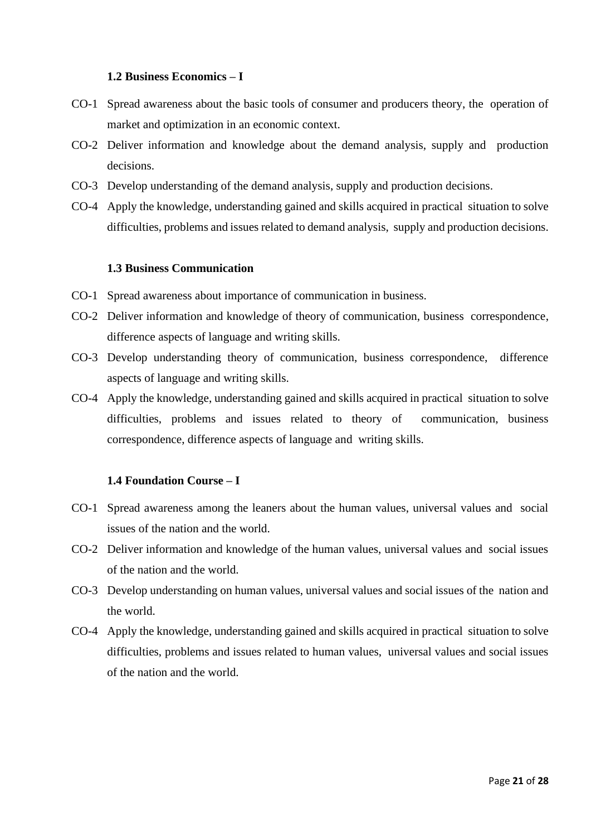# **1.2 Business Economics – I**

- CO-1 Spread awareness about the basic tools of consumer and producers theory, the operation of market and optimization in an economic context.
- CO-2 Deliver information and knowledge about the demand analysis, supply and production decisions.
- CO-3 Develop understanding of the demand analysis, supply and production decisions.
- CO-4 Apply the knowledge, understanding gained and skills acquired in practical situation to solve difficulties, problems and issues related to demand analysis, supply and production decisions.

### **1.3 Business Communication**

- CO-1 Spread awareness about importance of communication in business.
- CO-2 Deliver information and knowledge of theory of communication, business correspondence, difference aspects of language and writing skills.
- CO-3 Develop understanding theory of communication, business correspondence, difference aspects of language and writing skills.
- CO-4 Apply the knowledge, understanding gained and skills acquired in practical situation to solve difficulties, problems and issues related to theory of communication, business correspondence, difference aspects of language and writing skills.

#### **1.4 Foundation Course – I**

- CO-1 Spread awareness among the leaners about the human values, universal values and social issues of the nation and the world.
- CO-2 Deliver information and knowledge of the human values, universal values and social issues of the nation and the world.
- CO-3 Develop understanding on human values, universal values and social issues of the nation and the world.
- CO-4 Apply the knowledge, understanding gained and skills acquired in practical situation to solve difficulties, problems and issues related to human values, universal values and social issues of the nation and the world.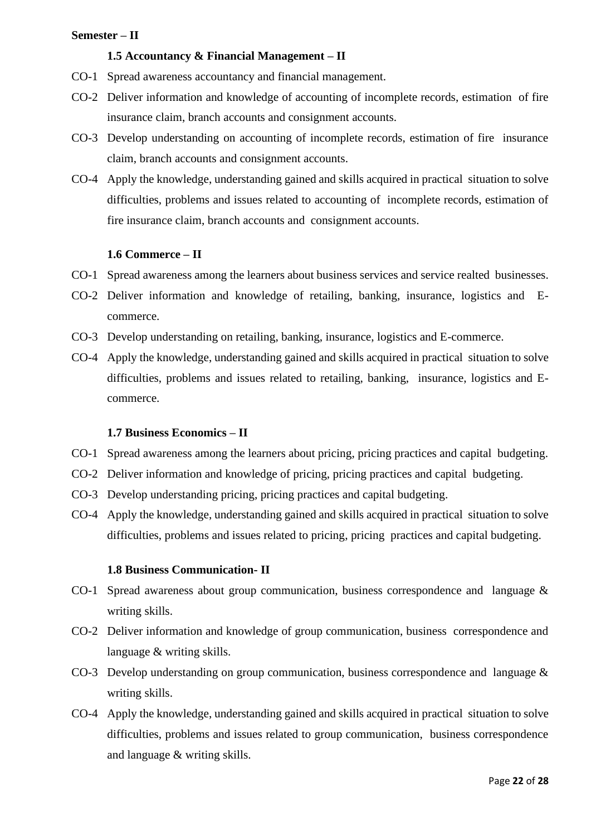### **Semester – II**

### **1.5 Accountancy & Financial Management – II**

- CO-1 Spread awareness accountancy and financial management.
- CO-2 Deliver information and knowledge of accounting of incomplete records, estimation of fire insurance claim, branch accounts and consignment accounts.
- CO-3 Develop understanding on accounting of incomplete records, estimation of fire insurance claim, branch accounts and consignment accounts.
- CO-4 Apply the knowledge, understanding gained and skills acquired in practical situation to solve difficulties, problems and issues related to accounting of incomplete records, estimation of fire insurance claim, branch accounts and consignment accounts.

#### **1.6 Commerce – II**

- CO-1 Spread awareness among the learners about business services and service realted businesses.
- CO-2 Deliver information and knowledge of retailing, banking, insurance, logistics and Ecommerce.
- CO-3 Develop understanding on retailing, banking, insurance, logistics and E-commerce.
- CO-4 Apply the knowledge, understanding gained and skills acquired in practical situation to solve difficulties, problems and issues related to retailing, banking, insurance, logistics and Ecommerce.

### **1.7 Business Economics – II**

- CO-1 Spread awareness among the learners about pricing, pricing practices and capital budgeting.
- CO-2 Deliver information and knowledge of pricing, pricing practices and capital budgeting.
- CO-3 Develop understanding pricing, pricing practices and capital budgeting.
- CO-4 Apply the knowledge, understanding gained and skills acquired in practical situation to solve difficulties, problems and issues related to pricing, pricing practices and capital budgeting.

### **1.8 Business Communication- II**

- CO-1 Spread awareness about group communication, business correspondence and language & writing skills.
- CO-2 Deliver information and knowledge of group communication, business correspondence and language & writing skills.
- CO-3 Develop understanding on group communication, business correspondence and language & writing skills.
- CO-4 Apply the knowledge, understanding gained and skills acquired in practical situation to solve difficulties, problems and issues related to group communication, business correspondence and language & writing skills.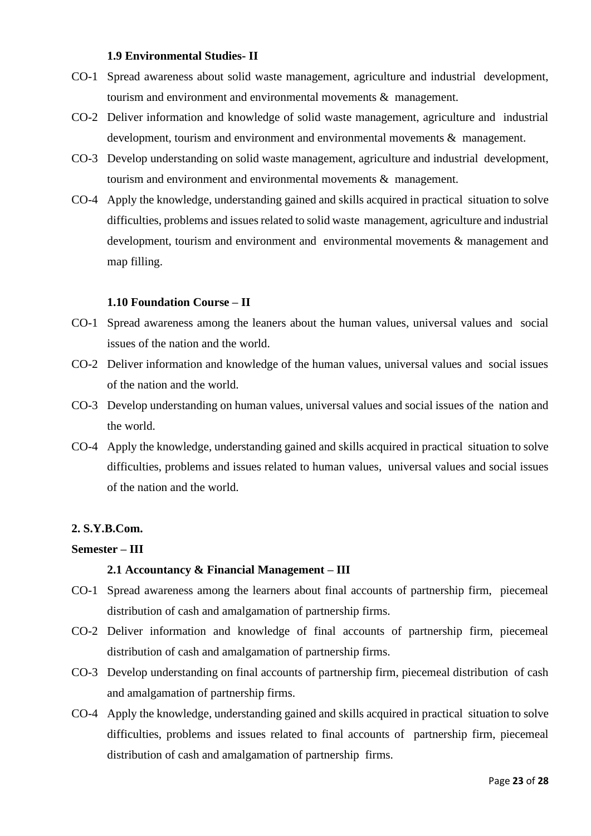### **1.9 Environmental Studies- II**

- CO-1 Spread awareness about solid waste management, agriculture and industrial development, tourism and environment and environmental movements & management.
- CO-2 Deliver information and knowledge of solid waste management, agriculture and industrial development, tourism and environment and environmental movements & management.
- CO-3 Develop understanding on solid waste management, agriculture and industrial development, tourism and environment and environmental movements & management.
- CO-4 Apply the knowledge, understanding gained and skills acquired in practical situation to solve difficulties, problems and issues related to solid waste management, agriculture and industrial development, tourism and environment and environmental movements & management and map filling.

### **1.10 Foundation Course – II**

- CO-1 Spread awareness among the leaners about the human values, universal values and social issues of the nation and the world.
- CO-2 Deliver information and knowledge of the human values, universal values and social issues of the nation and the world.
- CO-3 Develop understanding on human values, universal values and social issues of the nation and the world.
- CO-4 Apply the knowledge, understanding gained and skills acquired in practical situation to solve difficulties, problems and issues related to human values, universal values and social issues of the nation and the world.

# **2. S.Y.B.Com.**

#### **Semester – III**

### **2.1 Accountancy & Financial Management – III**

- CO-1 Spread awareness among the learners about final accounts of partnership firm, piecemeal distribution of cash and amalgamation of partnership firms.
- CO-2 Deliver information and knowledge of final accounts of partnership firm, piecemeal distribution of cash and amalgamation of partnership firms.
- CO-3 Develop understanding on final accounts of partnership firm, piecemeal distribution of cash and amalgamation of partnership firms.
- CO-4 Apply the knowledge, understanding gained and skills acquired in practical situation to solve difficulties, problems and issues related to final accounts of partnership firm, piecemeal distribution of cash and amalgamation of partnership firms.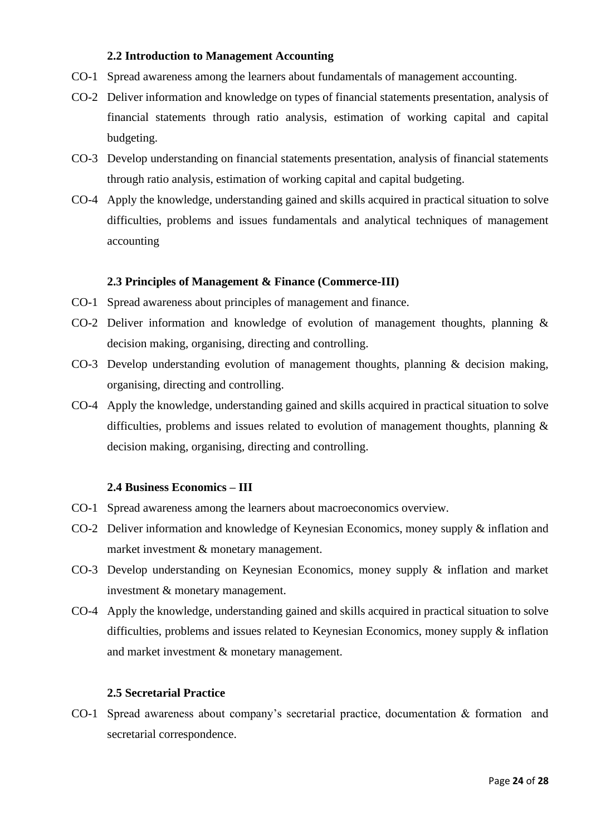# **2.2 Introduction to Management Accounting**

- CO-1 Spread awareness among the learners about fundamentals of management accounting.
- CO-2 Deliver information and knowledge on types of financial statements presentation, analysis of financial statements through ratio analysis, estimation of working capital and capital budgeting.
- CO-3 Develop understanding on financial statements presentation, analysis of financial statements through ratio analysis, estimation of working capital and capital budgeting.
- CO-4 Apply the knowledge, understanding gained and skills acquired in practical situation to solve difficulties, problems and issues fundamentals and analytical techniques of management accounting

# **2.3 Principles of Management & Finance (Commerce-III)**

- CO-1 Spread awareness about principles of management and finance.
- CO-2 Deliver information and knowledge of evolution of management thoughts, planning & decision making, organising, directing and controlling.
- CO-3 Develop understanding evolution of management thoughts, planning & decision making, organising, directing and controlling.
- CO-4 Apply the knowledge, understanding gained and skills acquired in practical situation to solve difficulties, problems and issues related to evolution of management thoughts, planning & decision making, organising, directing and controlling.

# **2.4 Business Economics – III**

- CO-1 Spread awareness among the learners about macroeconomics overview.
- CO-2 Deliver information and knowledge of Keynesian Economics, money supply & inflation and market investment & monetary management.
- CO-3 Develop understanding on Keynesian Economics, money supply & inflation and market investment & monetary management.
- CO-4 Apply the knowledge, understanding gained and skills acquired in practical situation to solve difficulties, problems and issues related to Keynesian Economics, money supply & inflation and market investment & monetary management.

# **2.5 Secretarial Practice**

CO-1 Spread awareness about company's secretarial practice, documentation & formation and secretarial correspondence.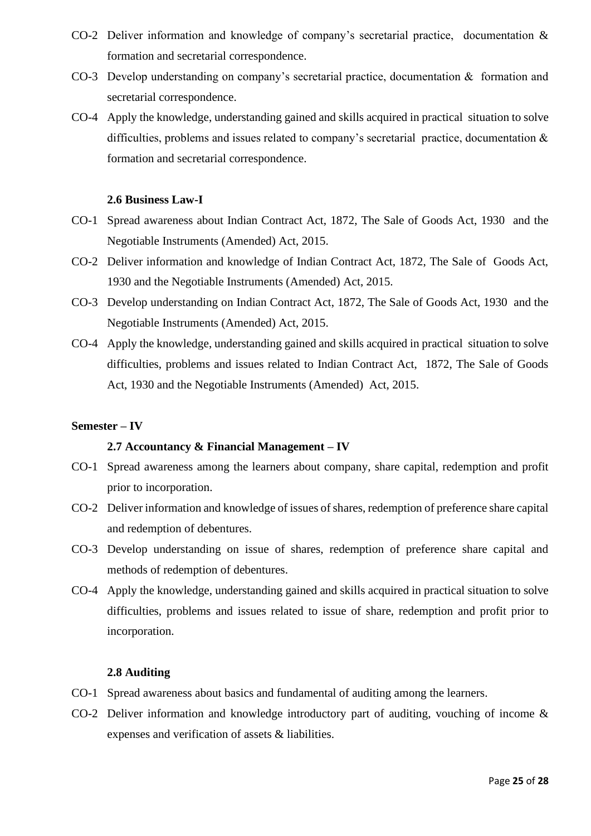- CO-2 Deliver information and knowledge of company's secretarial practice, documentation & formation and secretarial correspondence.
- CO-3 Develop understanding on company's secretarial practice, documentation & formation and secretarial correspondence.
- CO-4 Apply the knowledge, understanding gained and skills acquired in practical situation to solve difficulties, problems and issues related to company's secretarial practice, documentation & formation and secretarial correspondence.

### **2.6 Business Law-I**

- CO-1 Spread awareness about Indian Contract Act, 1872, The Sale of Goods Act, 1930 and the Negotiable Instruments (Amended) Act, 2015.
- CO-2 Deliver information and knowledge of Indian Contract Act, 1872, The Sale of Goods Act, 1930 and the Negotiable Instruments (Amended) Act, 2015.
- CO-3 Develop understanding on Indian Contract Act, 1872, The Sale of Goods Act, 1930 and the Negotiable Instruments (Amended) Act, 2015.
- CO-4 Apply the knowledge, understanding gained and skills acquired in practical situation to solve difficulties, problems and issues related to Indian Contract Act, 1872, The Sale of Goods Act, 1930 and the Negotiable Instruments (Amended) Act, 2015.

# **Semester – IV**

# **2.7 Accountancy & Financial Management – IV**

- CO-1 Spread awareness among the learners about company, share capital, redemption and profit prior to incorporation.
- CO-2 Deliver information and knowledge of issues of shares, redemption of preference share capital and redemption of debentures.
- CO-3 Develop understanding on issue of shares, redemption of preference share capital and methods of redemption of debentures.
- CO-4 Apply the knowledge, understanding gained and skills acquired in practical situation to solve difficulties, problems and issues related to issue of share, redemption and profit prior to incorporation.

#### **2.8 Auditing**

- CO-1 Spread awareness about basics and fundamental of auditing among the learners.
- CO-2 Deliver information and knowledge introductory part of auditing, vouching of income & expenses and verification of assets & liabilities.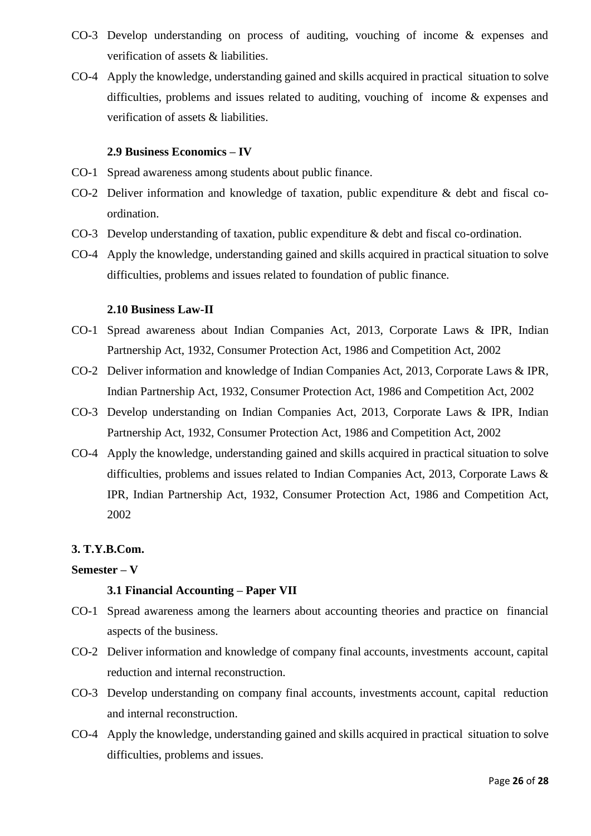- CO-3 Develop understanding on process of auditing, vouching of income & expenses and verification of assets & liabilities.
- CO-4 Apply the knowledge, understanding gained and skills acquired in practical situation to solve difficulties, problems and issues related to auditing, vouching of income & expenses and verification of assets & liabilities.

# **2.9 Business Economics – IV**

- CO-1 Spread awareness among students about public finance.
- CO-2 Deliver information and knowledge of taxation, public expenditure & debt and fiscal coordination.
- CO-3 Develop understanding of taxation, public expenditure & debt and fiscal co-ordination.
- CO-4 Apply the knowledge, understanding gained and skills acquired in practical situation to solve difficulties, problems and issues related to foundation of public finance.

### **2.10 Business Law-II**

- CO-1 Spread awareness about Indian Companies Act, 2013, Corporate Laws & IPR, Indian Partnership Act, 1932, Consumer Protection Act, 1986 and Competition Act, 2002
- CO-2 Deliver information and knowledge of Indian Companies Act, 2013, Corporate Laws & IPR, Indian Partnership Act, 1932, Consumer Protection Act, 1986 and Competition Act, 2002
- CO-3 Develop understanding on Indian Companies Act, 2013, Corporate Laws & IPR, Indian Partnership Act, 1932, Consumer Protection Act, 1986 and Competition Act, 2002
- CO-4 Apply the knowledge, understanding gained and skills acquired in practical situation to solve difficulties, problems and issues related to Indian Companies Act, 2013, Corporate Laws & IPR, Indian Partnership Act, 1932, Consumer Protection Act, 1986 and Competition Act, 2002

#### **3. T.Y.B.Com.**

#### **Semester – V**

#### **3.1 Financial Accounting – Paper VII**

- CO-1 Spread awareness among the learners about accounting theories and practice on financial aspects of the business.
- CO-2 Deliver information and knowledge of company final accounts, investments account, capital reduction and internal reconstruction.
- CO-3 Develop understanding on company final accounts, investments account, capital reduction and internal reconstruction.
- CO-4 Apply the knowledge, understanding gained and skills acquired in practical situation to solve difficulties, problems and issues.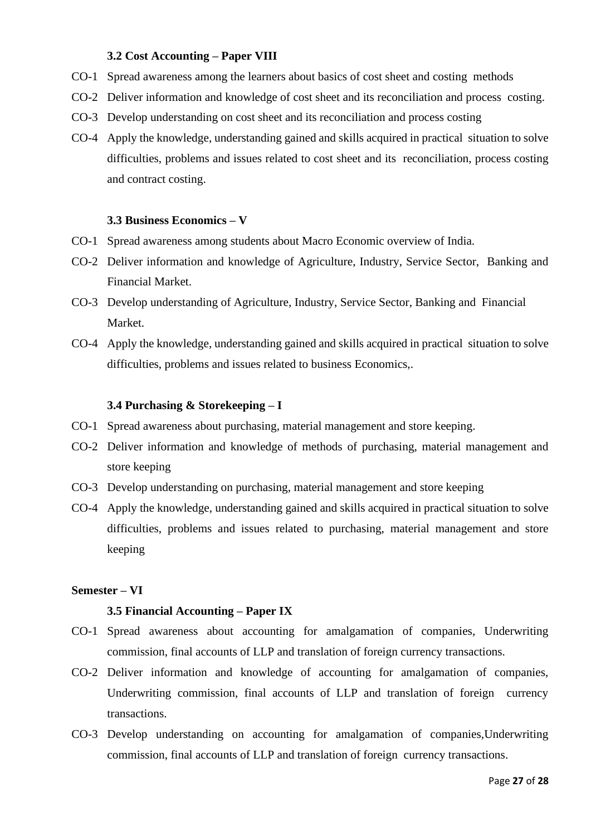# **3.2 Cost Accounting – Paper VIII**

- CO-1 Spread awareness among the learners about basics of cost sheet and costing methods
- CO-2 Deliver information and knowledge of cost sheet and its reconciliation and process costing.
- CO-3 Develop understanding on cost sheet and its reconciliation and process costing
- CO-4 Apply the knowledge, understanding gained and skills acquired in practical situation to solve difficulties, problems and issues related to cost sheet and its reconciliation, process costing and contract costing.

#### **3.3 Business Economics – V**

- CO-1 Spread awareness among students about Macro Economic overview of India.
- CO-2 Deliver information and knowledge of Agriculture, Industry, Service Sector, Banking and Financial Market.
- CO-3 Develop understanding of Agriculture, Industry, Service Sector, Banking and Financial Market.
- CO-4 Apply the knowledge, understanding gained and skills acquired in practical situation to solve difficulties, problems and issues related to business Economics,.

#### **3.4 Purchasing & Storekeeping – I**

- CO-1 Spread awareness about purchasing, material management and store keeping.
- CO-2 Deliver information and knowledge of methods of purchasing, material management and store keeping
- CO-3 Develop understanding on purchasing, material management and store keeping
- CO-4 Apply the knowledge, understanding gained and skills acquired in practical situation to solve difficulties, problems and issues related to purchasing, material management and store keeping

#### **Semester – VI**

#### **3.5 Financial Accounting – Paper IX**

- CO-1 Spread awareness about accounting for amalgamation of companies, Underwriting commission, final accounts of LLP and translation of foreign currency transactions.
- CO-2 Deliver information and knowledge of accounting for amalgamation of companies, Underwriting commission, final accounts of LLP and translation of foreign currency transactions.
- CO-3 Develop understanding on accounting for amalgamation of companies,Underwriting commission, final accounts of LLP and translation of foreign currency transactions.